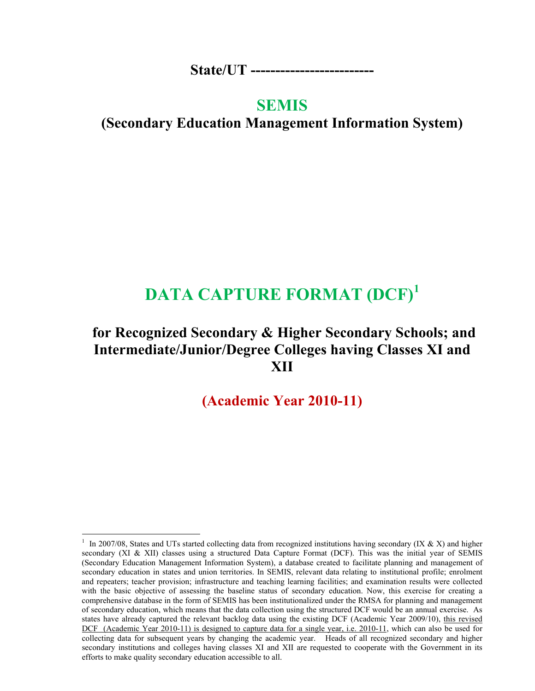**State/UT -------------------------** 

## **SEMIS**

**(Secondary Education Management Information System)** 

# **DATA CAPTURE FORMAT (DCF)<sup>1</sup>**

## **for Recognized Secondary & Higher Secondary Schools; and Intermediate/Junior/Degree Colleges having Classes XI and XII**

**(Academic Year 2010-11)** 

-

<sup>1</sup> In 2007/08, States and UTs started collecting data from recognized institutions having secondary (IX & X) and higher secondary (XI & XII) classes using a structured Data Capture Format (DCF). This was the initial year of SEMIS (Secondary Education Management Information System), a database created to facilitate planning and management of secondary education in states and union territories. In SEMIS, relevant data relating to institutional profile; enrolment and repeaters; teacher provision; infrastructure and teaching learning facilities; and examination results were collected with the basic objective of assessing the baseline status of secondary education. Now, this exercise for creating a comprehensive database in the form of SEMIS has been institutionalized under the RMSA for planning and management of secondary education, which means that the data collection using the structured DCF would be an annual exercise. As states have already captured the relevant backlog data using the existing DCF (Academic Year 2009/10), this revised DCF (Academic Year 2010-11) is designed to capture data for a single year, i.e. 2010-11, which can also be used for collecting data for subsequent years by changing the academic year. Heads of all recognized secondary and higher secondary institutions and colleges having classes XI and XII are requested to cooperate with the Government in its efforts to make quality secondary education accessible to all.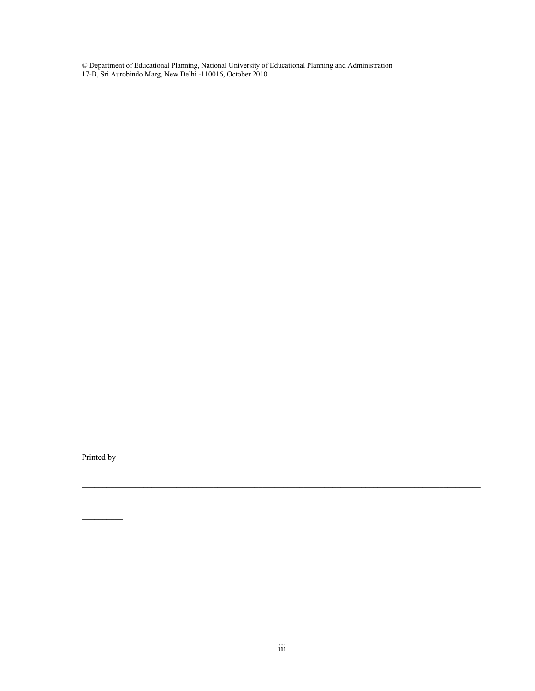$\copyright$  Department of Educational Planning, National University of Educational Planning and Administration 17-B, Sri Aurobindo Marg, New Delhi -110016, October 2010

Printed by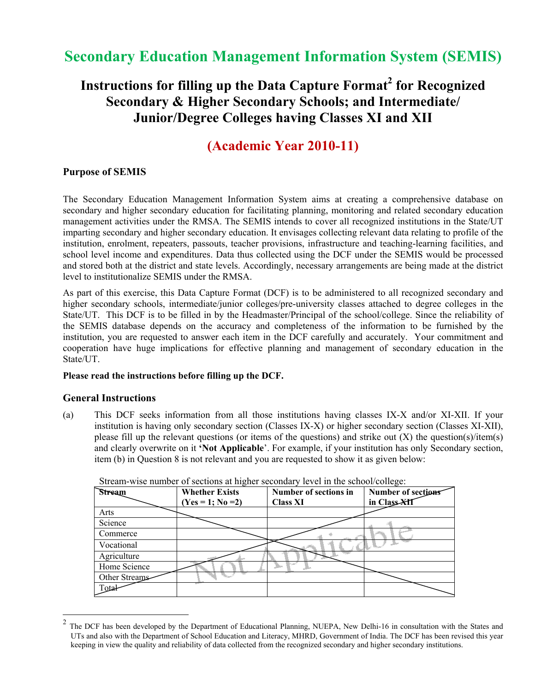# **Secondary Education Management Information System (SEMIS)**

# Instructions for filling up the Data Capture Format<sup>2</sup> for Recognized **Secondary & Higher Secondary Schools; and Intermediate/ Junior/Degree Colleges having Classes XI and XII**

## **(Academic Year 2010-11)**

### **Purpose of SEMIS**

The Secondary Education Management Information System aims at creating a comprehensive database on secondary and higher secondary education for facilitating planning, monitoring and related secondary education management activities under the RMSA. The SEMIS intends to cover all recognized institutions in the State/UT imparting secondary and higher secondary education. It envisages collecting relevant data relating to profile of the institution, enrolment, repeaters, passouts, teacher provisions, infrastructure and teaching-learning facilities, and school level income and expenditures. Data thus collected using the DCF under the SEMIS would be processed and stored both at the district and state levels. Accordingly, necessary arrangements are being made at the district level to institutionalize SEMIS under the RMSA.

As part of this exercise, this Data Capture Format (DCF) is to be administered to all recognized secondary and higher secondary schools, intermediate/junior colleges/pre-university classes attached to degree colleges in the State/UT. This DCF is to be filled in by the Headmaster/Principal of the school/college. Since the reliability of the SEMIS database depends on the accuracy and completeness of the information to be furnished by the institution, you are requested to answer each item in the DCF carefully and accurately. Your commitment and cooperation have huge implications for effective planning and management of secondary education in the State/UT.

### **Please read the instructions before filling up the DCF.**

### **General Instructions**

 $\overline{a}$ 

(a) This DCF seeks information from all those institutions having classes IX-X and/or XI-XII. If your institution is having only secondary section (Classes IX-X) or higher secondary section (Classes XI-XII), please fill up the relevant questions (or items of the questions) and strike out (X) the question(s)/item(s) and clearly overwrite on it **'Not Applicable**'. For example, if your institution has only Secondary section, item (b) in Question 8 is not relevant and you are requested to show it as given below:

|               |                       | $\ldots$ . The state position of $\ldots$ |                    |
|---------------|-----------------------|-------------------------------------------|--------------------|
| Stream        | <b>Whether Exists</b> | Number of sections in                     | Number of sections |
|               | $(Yes = 1; No = 2)$   | <b>Class XI</b>                           | in Class-XII       |
| Arts          |                       |                                           |                    |
| Science       |                       |                                           |                    |
| Commerce      |                       |                                           |                    |
| Vocational    |                       |                                           |                    |
| Agriculture   |                       |                                           |                    |
| Home Science  |                       |                                           |                    |
| Other Streams |                       |                                           |                    |
| Total         |                       |                                           |                    |

Stream-wise number of sections at higher secondary level in the school/college:

 $<sup>2</sup>$  The DCF has been developed by the Department of Educational Planning, NUEPA, New Delhi-16 in consultation with the States and</sup> UTs and also with the Department of School Education and Literacy, MHRD, Government of India. The DCF has been revised this year keeping in view the quality and reliability of data collected from the recognized secondary and higher secondary institutions.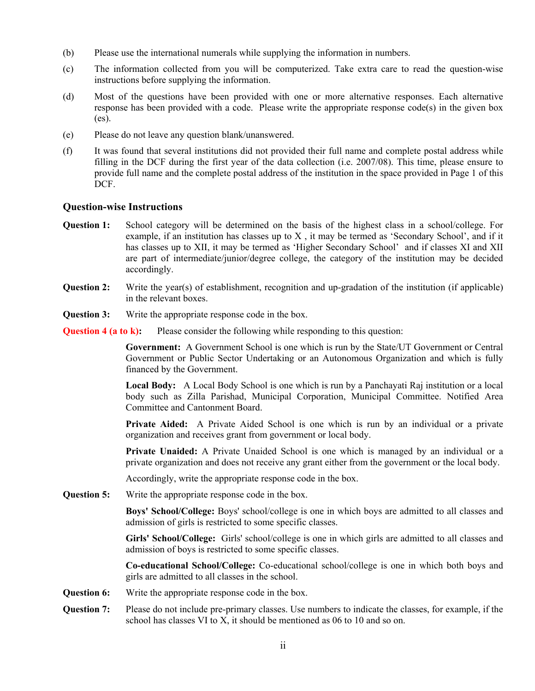- (b) Please use the international numerals while supplying the information in numbers.
- (c) The information collected from you will be computerized. Take extra care to read the question-wise instructions before supplying the information.
- (d) Most of the questions have been provided with one or more alternative responses. Each alternative response has been provided with a code. Please write the appropriate response code(s) in the given box (es).
- (e) Please do not leave any question blank/unanswered.
- (f) It was found that several institutions did not provided their full name and complete postal address while filling in the DCF during the first year of the data collection (i.e. 2007/08). This time, please ensure to provide full name and the complete postal address of the institution in the space provided in Page 1 of this DCF.

### **Question-wise Instructions**

- **Question 1:** School category will be determined on the basis of the highest class in a school/college. For example, if an institution has classes up to  $X$ , it may be termed as 'Secondary School', and if it has classes up to XII, it may be termed as 'Higher Secondary School' and if classes XI and XII are part of intermediate/junior/degree college, the category of the institution may be decided accordingly.
- **Question 2:** Write the year(s) of establishment, recognition and up-gradation of the institution (if applicable) in the relevant boxes.
- **Question 3:** Write the appropriate response code in the box.
- **Question 4 (a to k):** Please consider the following while responding to this question:

**Government:** A Government School is one which is run by the State/UT Government or Central Government or Public Sector Undertaking or an Autonomous Organization and which is fully financed by the Government.

**Local Body:** A Local Body School is one which is run by a Panchayati Raj institution or a local body such as Zilla Parishad, Municipal Corporation, Municipal Committee. Notified Area Committee and Cantonment Board.

**Private Aided:** A Private Aided School is one which is run by an individual or a private organization and receives grant from government or local body.

**Private Unaided:** A Private Unaided School is one which is managed by an individual or a private organization and does not receive any grant either from the government or the local body.

Accordingly, write the appropriate response code in the box.

**Question 5:** Write the appropriate response code in the box.

**Boys' School/College:** Boys' school/college is one in which boys are admitted to all classes and admission of girls is restricted to some specific classes.

**Girls' School/College:** Girls' school/college is one in which girls are admitted to all classes and admission of boys is restricted to some specific classes.

**Co-educational School/College:** Co-educational school/college is one in which both boys and girls are admitted to all classes in the school.

- **Question 6:** Write the appropriate response code in the box.
- **Question 7:** Please do not include pre-primary classes. Use numbers to indicate the classes, for example, if the school has classes VI to X, it should be mentioned as 06 to 10 and so on.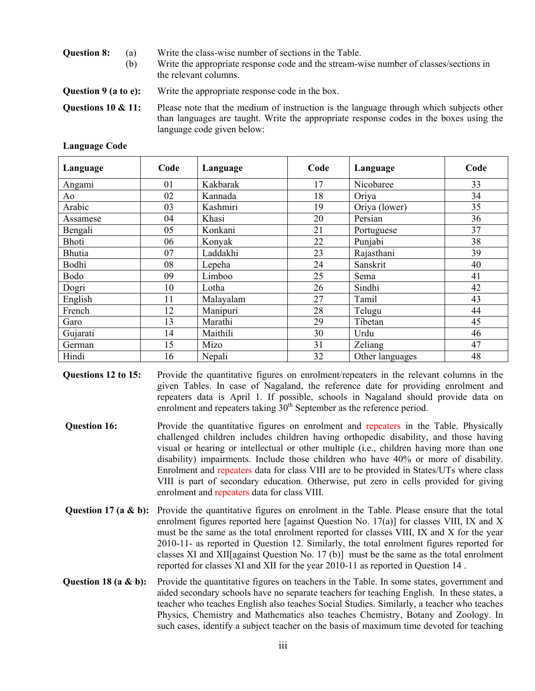| <b>Question 8:</b>     | (a) | Write the class-wise number of sections in the Table.                                                                                                                             |
|------------------------|-----|-----------------------------------------------------------------------------------------------------------------------------------------------------------------------------------|
|                        | (b) | Write the appropriate response code and the stream-wise number of classes/sections in<br>the relevant columns.                                                                    |
| Question 9 (a to e):   |     | Write the appropriate response code in the box.                                                                                                                                   |
| Questions $10 \& 11$ : |     | Please note that the medium of instruction is the language through which subjects other<br>than languages are taught. Write the appropriate response codes in the boxes using the |

language code given below:

| Language      | Code | Language  | Code | Language        | Code |
|---------------|------|-----------|------|-----------------|------|
| Angami        | 01   | Kakbarak  | 17   | Nicobaree       | 33   |
| Ao            | 02   | Kannada   | 18   | Oriya           | 34   |
| Arabic        | 03   | Kashmiri  | 19   | Oriya (lower)   | 35   |
| Assamese      | 04   | Khasi     | 20   | Persian         | 36   |
| Bengali       | 05   | Konkani   | 21   | Portuguese      | 37   |
| Bhoti         | 06   | Konyak    | 22   | Punjabi         | 38   |
| <b>Bhutia</b> | 07   | Laddakhi  | 23   | Rajasthani      | 39   |
| Bodhi         | 08   | Lepeha    | 24   | Sanskrit        | 40   |
| Bodo          | 09   | Limboo    | 25   | Sema            | 41   |
| Dogri         | 10   | Lotha     | 26   | Sindhi          | 42   |
| English       | 11   | Malayalam | 27   | Tamil           | 43   |
| French        | 12   | Manipuri  | 28   | Telugu          | 44   |
| Garo          | 13   | Marathi   | 29   | Tibetan         | 45   |
| Gujarati      | 14   | Maithili  | 30   | Urdu            | 46   |
| German        | 15   | Mizo      | 31   | Zeliang         | 47   |
| Hindi         | 16   | Nepali    | 32   | Other languages | 48   |

**Language Code** 

**Questions 12 to 15:** Provide the quantitative figures on enrolment/repeaters in the relevant columns in the given Tables. In case of Nagaland, the reference date for providing enrolment and repeaters data is April 1. If possible, schools in Nagaland should provide data on enrolment and repeaters taking  $30<sup>th</sup>$  September as the reference period.

- **Question 16:** Provide the quantitative figures on enrolment and repeaters in the Table. Physically challenged children includes children having orthopedic disability, and those having visual or hearing or intellectual or other multiple (i.e., children having more than one disability) impairments. Include those children who have 40% or more of disability. Enrolment and repeaters data for class VIII are to be provided in States/UTs where class VIII is part of secondary education. Otherwise, put zero in cells provided for giving enrolment and repeaters data for class VIII.
- **Question 17 (a & b):** Provide the quantitative figures on enrolment in the Table. Please ensure that the total enrolment figures reported here [against Question No.  $17(a)$ ] for classes VIII, IX and X must be the same as the total enrolment reported for classes VIII, IX and X for the year 2010-11- as reported in Question 12. Similarly, the total enrolment figures reported for classes XI and XII[against Question No. 17 (b)] must be the same as the total enrolment reported for classes XI and XII for the year 2010-11 as reported in Question 14 .
- **Question 18 (a & b):** Provide the quantitative figures on teachers in the Table. In some states, government and aided secondary schools have no separate teachers for teaching English. In these states, a teacher who teaches English also teaches Social Studies. Similarly, a teacher who teaches Physics, Chemistry and Mathematics also teaches Chemistry, Botany and Zoology. In such cases, identify a subject teacher on the basis of maximum time devoted for teaching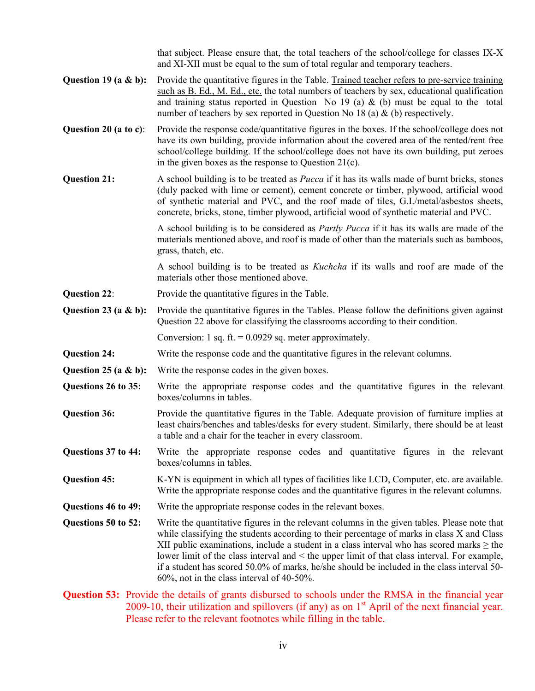that subject. Please ensure that, the total teachers of the school/college for classes IX-X and XI-XII must be equal to the sum of total regular and temporary teachers. **Question 19 (a & b):** Provide the quantitative figures in the Table. Trained teacher refers to pre-service training such as B. Ed., M. Ed., etc. the total numbers of teachers by sex, educational qualification and training status reported in Question No 19 (a)  $\&$  (b) must be equal to the total number of teachers by sex reported in Question No 18 (a) & (b) respectively. **Question 20 (a to c)**: Provide the response code/quantitative figures in the boxes. If the school/college does not have its own building, provide information about the covered area of the rented/rent free school/college building. If the school/college does not have its own building, put zeroes in the given boxes as the response to Question 21(c). **Question 21:** A school building is to be treated as *Pucca* if it has its walls made of burnt bricks, stones (duly packed with lime or cement), cement concrete or timber, plywood, artificial wood of synthetic material and PVC, and the roof made of tiles, G.I./metal/asbestos sheets, concrete, bricks, stone, timber plywood, artificial wood of synthetic material and PVC. A school building is to be considered as *Partly Pucca* if it has its walls are made of the materials mentioned above, and roof is made of other than the materials such as bamboos, grass, thatch, etc. A school building is to be treated as *Kuchcha* if its walls and roof are made of the materials other those mentioned above. **Question 22:** Provide the quantitative figures in the Table. **Question 23 (a & b):** Provide the quantitative figures in the Tables. Please follow the definitions given against Question 22 above for classifying the classrooms according to their condition. Conversion: 1 sq. ft.  $= 0.0929$  sq. meter approximately. **Question 24:** Write the response code and the quantitative figures in the relevant columns. **Question 25 (a & b):** Write the response codes in the given boxes. **Questions 26 to 35:** Write the appropriate response codes and the quantitative figures in the relevant boxes/columns in tables. **Question 36:** Provide the quantitative figures in the Table. Adequate provision of furniture implies at least chairs/benches and tables/desks for every student. Similarly, there should be at least a table and a chair for the teacher in every classroom. **Questions 37 to 44:** Write the appropriate response codes and quantitative figures in the relevant boxes/columns in tables. **Question 45:** K-YN is equipment in which all types of facilities like LCD, Computer, etc. are available. Write the appropriate response codes and the quantitative figures in the relevant columns. **Questions 46 to 49:** Write the appropriate response codes in the relevant boxes. **Questions 50 to 52:** Write the quantitative figures in the relevant columns in the given tables. Please note that while classifying the students according to their percentage of marks in class X and Class XII public examinations, include a student in a class interval who has scored marks  $\geq$  the lower limit of the class interval and < the upper limit of that class interval. For example, if a student has scored 50.0% of marks, he/she should be included in the class interval 50- 60%, not in the class interval of 40-50%. **Question 53:** Provide the details of grants disbursed to schools under the RMSA in the financial year 2009-10, their utilization and spillovers (if any) as on  $1<sup>st</sup>$  April of the next financial year. Please refer to the relevant footnotes while filling in the table.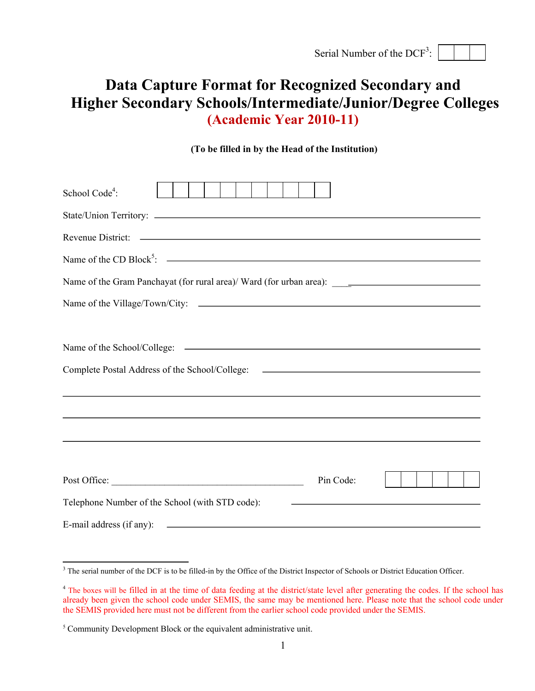| Serial Number of the DCF <sup>3</sup> : $\vert$ |
|-------------------------------------------------|
|-------------------------------------------------|

# **Data Capture Format for Recognized Secondary and Higher Secondary Schools/Intermediate/Junior/Degree Colleges (Academic Year 2010-11)**

### **(To be filled in by the Head of the Institution)**

| School Code <sup>4</sup> :                                                                                                                         |
|----------------------------------------------------------------------------------------------------------------------------------------------------|
|                                                                                                                                                    |
|                                                                                                                                                    |
| Name of the CD Block <sup>5</sup> : $\sim$                                                                                                         |
|                                                                                                                                                    |
|                                                                                                                                                    |
|                                                                                                                                                    |
|                                                                                                                                                    |
| Complete Postal Address of the School/College: __________________________________                                                                  |
|                                                                                                                                                    |
|                                                                                                                                                    |
|                                                                                                                                                    |
|                                                                                                                                                    |
| Pin Code:                                                                                                                                          |
| Telephone Number of the School (with STD code):                                                                                                    |
| E-mail address (if any):<br><u> 1999 - Johann John Stoff, deutscher Stoffen und der Stoffen und der Stoffen und der Stoffen und der Stoffen un</u> |

<sup>&</sup>lt;sup>3</sup> The serial number of the DCF is to be filled-in by the Office of the District Inspector of Schools or District Education Officer.

<sup>&</sup>lt;sup>4</sup> The boxes will be filled in at the time of data feeding at the district/state level after generating the codes. If the school has already been given the school code under SEMIS, the same may be mentioned here. Please note that the school code under the SEMIS provided here must not be different from the earlier school code provided under the SEMIS.

 $<sup>5</sup>$  Community Development Block or the equivalent administrative unit.</sup>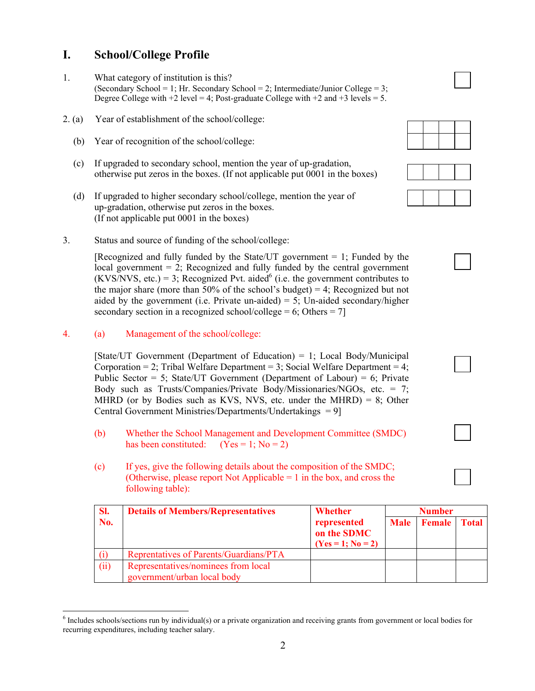### **I. School/College Profile**

- 1. What category of institution is this? (Secondary School = 1; Hr. Secondary School = 2; Intermediate/Junior College = 3; Degree College with  $+2$  level = 4; Post-graduate College with  $+2$  and  $+3$  levels = 5.
- 2. (a) Year of establishment of the school/college:
	- (b) Year of recognition of the school/college:
	- (c) If upgraded to secondary school, mention the year of up-gradation, otherwise put zeros in the boxes. (If not applicable put 0001 in the boxes)
	- (d) If upgraded to higher secondary school/college, mention the year of up-gradation, otherwise put zeros in the boxes. (If not applicable put 0001 in the boxes)
- 3. Status and source of funding of the school/college:

[Recognized and fully funded by the State/UT government  $= 1$ ; Funded by the local government  $= 2$ ; Recognized and fully funded by the central government  $(KVS/NVS, etc.) = 3$ ; Recognized Pvt. aided<sup>6</sup> (i.e. the government contributes to the major share (more than  $50\%$  of the school's budget) = 4; Recognized but not aided by the government (i.e. Private un-aided) = 5; Un-aided secondary/higher secondary section in a recognized school/college = 6; Others = 7]

4. (a) Management of the school/college:

[State/UT Government (Department of Education) = 1; Local Body/Municipal Corporation = 2; Tribal Welfare Department = 3; Social Welfare Department = 4; Public Sector  $= 5$ ; State/UT Government (Department of Labour)  $= 6$ ; Private Body such as Trusts/Companies/Private Body/Missionaries/NGOs, etc. = 7; MHRD (or by Bodies such as KVS, NVS, etc. under the MHRD) = 8; Other Central Government Ministries/Departments/Undertakings = 9]

- (b) Whether the School Management and Development Committee (SMDC) has been constituted:  $(Yes = 1; No = 2)$
- (c) If yes, give the following details about the composition of the SMDC; (Otherwise, please report Not Applicable = 1 in the box, and cross the following table):

| SI.  | <b>Details of Members/Representatives</b>                          | Whether                                           |             | <b>Number</b>       |  |
|------|--------------------------------------------------------------------|---------------------------------------------------|-------------|---------------------|--|
| No.  |                                                                    | represented<br>on the SDMC<br>$(Yes = 1; No = 2)$ | <b>Male</b> | <b>Female</b> Total |  |
|      | Reprentatives of Parents/Guardians/PTA                             |                                                   |             |                     |  |
| (ii) | Representatives/nominees from local<br>government/urban local body |                                                   |             |                     |  |

 $\overline{a}$  $6$  Includes schools/sections run by individual(s) or a private organization and receiving grants from government or local bodies for recurring expenditures, including teacher salary.







2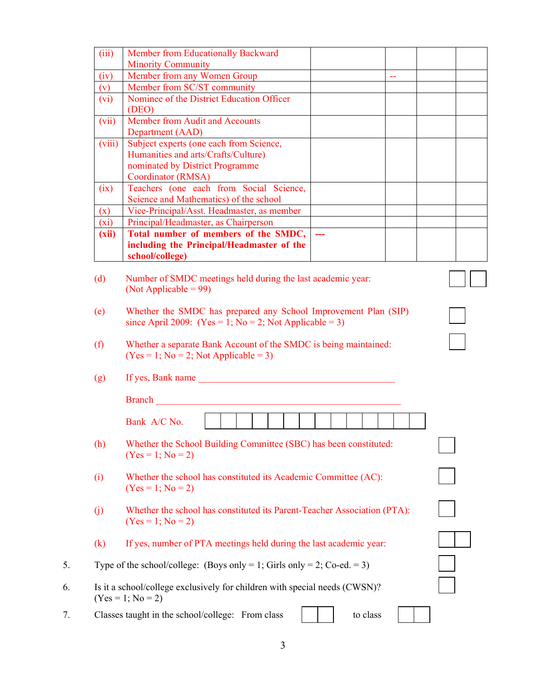| (iii)                      | Member from Educationally Backward                                         |          |                           |  |
|----------------------------|----------------------------------------------------------------------------|----------|---------------------------|--|
|                            | <b>Minority Community</b>                                                  |          |                           |  |
| (iv)                       | Member from any Women Group                                                |          | $\mathbb{Z}^{\mathbb{Z}}$ |  |
| (v)                        | Member from SC/ST community                                                |          |                           |  |
| (vi)                       | Nominee of the District Education Officer                                  |          |                           |  |
|                            | (DEO)                                                                      |          |                           |  |
| (vii)                      | Member from Audit and Accounts                                             |          |                           |  |
|                            | Department (AAD)                                                           |          |                           |  |
| (viii)                     | Subject experts (one each from Science,                                    |          |                           |  |
|                            | Humanities and arts/Crafts/Culture)                                        |          |                           |  |
|                            | nominated by District Programme                                            |          |                           |  |
|                            | Coordinator (RMSA)                                                         |          |                           |  |
| (ix)                       | Teachers (one each from Social Science,                                    |          |                           |  |
|                            | Science and Mathematics) of the school                                     |          |                           |  |
| (x)                        | Vice-Principal/Asst. Headmaster, as member                                 |          |                           |  |
| (xi)                       | Principal/Headmaster, as Chairperson                                       |          |                           |  |
| (xii)                      | Total number of members of the SMDC,                                       |          |                           |  |
|                            | including the Principal/Headmaster of the                                  |          |                           |  |
|                            | school/college)                                                            |          |                           |  |
| (d)                        | Number of SMDC meetings held during the last academic year:                |          |                           |  |
|                            | (Not Applicable = $99$ )                                                   |          |                           |  |
|                            |                                                                            |          |                           |  |
| (e)                        | Whether the SMDC has prepared any School Improvement Plan (SIP)            |          |                           |  |
|                            | since April 2009: (Yes = 1; No = 2; Not Applicable = 3)                    |          |                           |  |
|                            |                                                                            |          |                           |  |
| (f)                        | Whether a separate Bank Account of the SMDC is being maintained:           |          |                           |  |
|                            | $(Yes = 1; No = 2; Not Applicable = 3)$                                    |          |                           |  |
|                            |                                                                            |          |                           |  |
| (g)                        | If yes, Bank name                                                          |          |                           |  |
|                            |                                                                            |          |                           |  |
|                            | <b>Branch</b>                                                              |          |                           |  |
|                            |                                                                            |          |                           |  |
|                            | Bank A/C No.                                                               |          |                           |  |
| (h)                        | Whether the School Building Committee (SBC) has been constituted:          |          |                           |  |
|                            | $(Yes = 1; No = 2)$                                                        |          |                           |  |
|                            |                                                                            |          |                           |  |
| (i)                        | Whether the school has constituted its Academic Committee (AC):            |          |                           |  |
|                            | $(Yes = 1; No = 2)$                                                        |          |                           |  |
|                            |                                                                            |          |                           |  |
| $\left( j\right)$          | Whether the school has constituted its Parent-Teacher Association (PTA):   |          |                           |  |
|                            | $(Yes = 1; No = 2)$                                                        |          |                           |  |
|                            |                                                                            |          |                           |  |
| $\left( \mathrm{k}\right)$ | If yes, number of PTA meetings held during the last academic year:         |          |                           |  |
|                            |                                                                            |          |                           |  |
|                            | Type of the school/college: (Boys only = 1; Girls only = 2; Co-ed. = 3)    |          |                           |  |
|                            |                                                                            |          |                           |  |
|                            | Is it a school/college exclusively for children with special needs (CWSN)? |          |                           |  |
|                            | $(Yes = 1; No = 2)$                                                        |          |                           |  |
|                            | Classes taught in the school/college: From class                           | to class |                           |  |
|                            |                                                                            |          |                           |  |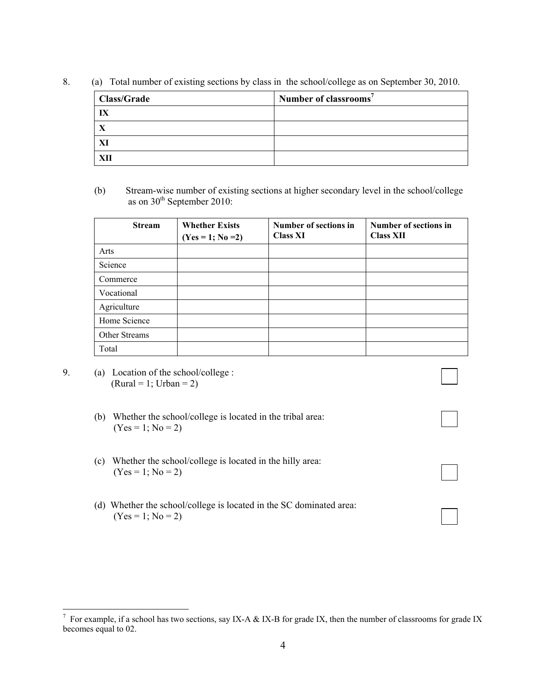8. (a) Total number of existing sections by class in the school/college as on September 30, 2010.

| <b>Class/Grade</b> | Number of classrooms <sup>7</sup> |
|--------------------|-----------------------------------|
| IX                 |                                   |
|                    |                                   |
| XI                 |                                   |
|                    |                                   |

(b) Stream-wise number of existing sections at higher secondary level in the school/college as on 30<sup>th</sup> September 2010:

| <b>Stream</b> | <b>Whether Exists</b><br>$(Yes = 1; No = 2)$ | Number of sections in<br><b>Class XI</b> | Number of sections in<br><b>Class XII</b> |
|---------------|----------------------------------------------|------------------------------------------|-------------------------------------------|
| Arts          |                                              |                                          |                                           |
| Science       |                                              |                                          |                                           |
| Commerce      |                                              |                                          |                                           |
| Vocational    |                                              |                                          |                                           |
| Agriculture   |                                              |                                          |                                           |
| Home Science  |                                              |                                          |                                           |
| Other Streams |                                              |                                          |                                           |
| Total         |                                              |                                          |                                           |

- 9. (a) Location of the school/college :  $(Rural = 1; Urban = 2)$ 
	- (b) Whether the school/college is located in the tribal area:  $(Yes = 1; No = 2)$
	- (c) Whether the school/college is located in the hilly area:  $(Yes = 1; No = 2)$
	- (d) Whether the school/college is located in the SC dominated area:  $(Yes = 1; No = 2)$

<sup>&</sup>lt;sup>7</sup> For example, if a school has two sections, say IX-A & IX-B for grade IX, then the number of classrooms for grade IX becomes equal to 02.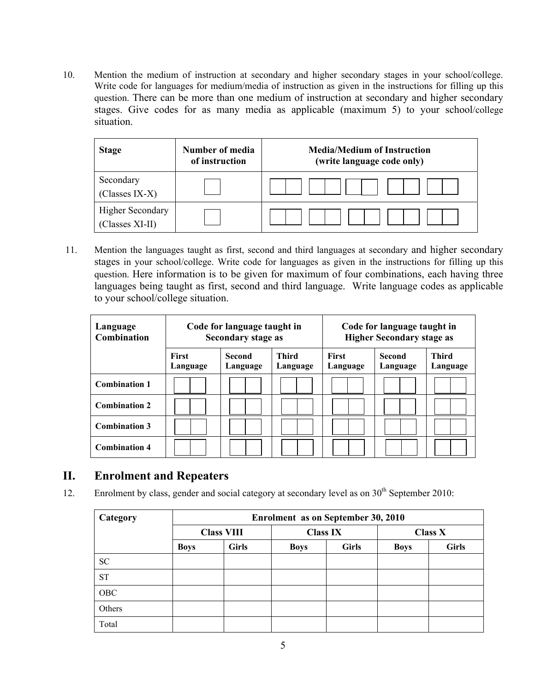10. Mention the medium of instruction at secondary and higher secondary stages in your school/college. Write code for languages for medium/media of instruction as given in the instructions for filling up this question. There can be more than one medium of instruction at secondary and higher secondary stages. Give codes for as many media as applicable (maximum 5) to your school/college situation.

| <b>Stage</b>                               | Number of media<br>of instruction | <b>Media/Medium of Instruction</b><br>(write language code only) |
|--------------------------------------------|-----------------------------------|------------------------------------------------------------------|
| Secondary<br>(Classes IX-X)                |                                   |                                                                  |
| <b>Higher Secondary</b><br>(Classes XI-II) |                                   |                                                                  |

 11. Mention the languages taught as first, second and third languages at secondary and higher secondary stages in your school/college. Write code for languages as given in the instructions for filling up this question. Here information is to be given for maximum of four combinations, each having three languages being taught as first, second and third language. Write language codes as applicable to your school/college situation.

| Language<br><b>Combination</b> | Code for language taught in<br><b>Secondary stage as</b> |                           |                          | Code for language taught in<br><b>Higher Secondary stage as</b> |                           |                          |
|--------------------------------|----------------------------------------------------------|---------------------------|--------------------------|-----------------------------------------------------------------|---------------------------|--------------------------|
|                                | First<br>Language                                        | <b>Second</b><br>Language | <b>Third</b><br>Language | <b>First</b><br>Language                                        | <b>Second</b><br>Language | <b>Third</b><br>Language |
| <b>Combination 1</b>           |                                                          |                           |                          |                                                                 |                           |                          |
| <b>Combination 2</b>           |                                                          |                           |                          |                                                                 |                           |                          |
| <b>Combination 3</b>           |                                                          |                           |                          |                                                                 |                           |                          |
| <b>Combination 4</b>           |                                                          |                           |                          |                                                                 |                           |                          |

### **II. Enrolment and Repeaters**

12. Enrolment by class, gender and social category at secondary level as on 30<sup>th</sup> September 2010:

| Category  | Enrolment as on September 30, 2010 |              |                 |              |                |              |
|-----------|------------------------------------|--------------|-----------------|--------------|----------------|--------------|
|           | <b>Class VIII</b>                  |              | <b>Class IX</b> |              | <b>Class X</b> |              |
|           | <b>Boys</b>                        | <b>Girls</b> | <b>Boys</b>     | <b>Girls</b> | <b>Boys</b>    | <b>Girls</b> |
| SC        |                                    |              |                 |              |                |              |
| <b>ST</b> |                                    |              |                 |              |                |              |
| OBC       |                                    |              |                 |              |                |              |
| Others    |                                    |              |                 |              |                |              |
| Total     |                                    |              |                 |              |                |              |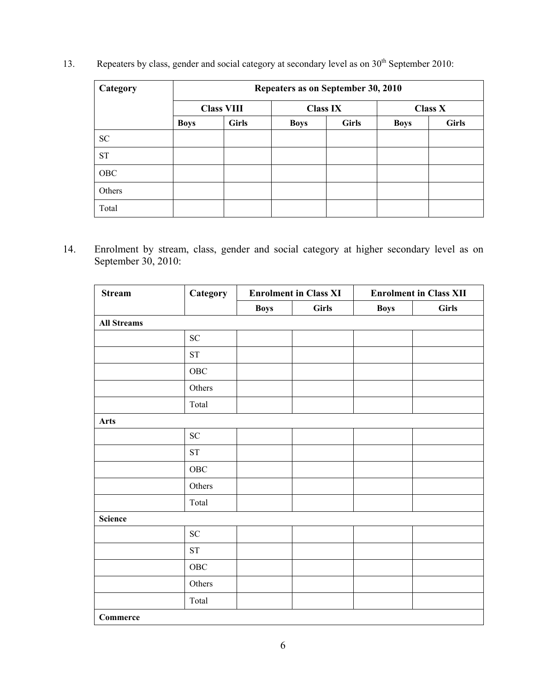13. Repeaters by class, gender and social category at secondary level as on 30<sup>th</sup> September 2010:

| Category  |                                      |              | Repeaters as on September 30, 2010 |              |                |              |  |  |  |  |
|-----------|--------------------------------------|--------------|------------------------------------|--------------|----------------|--------------|--|--|--|--|
|           | <b>Class VIII</b><br><b>Class IX</b> |              |                                    |              | <b>Class X</b> |              |  |  |  |  |
|           | <b>Boys</b>                          | <b>Girls</b> | <b>Boys</b>                        | <b>Girls</b> | <b>Boys</b>    | <b>Girls</b> |  |  |  |  |
| <b>SC</b> |                                      |              |                                    |              |                |              |  |  |  |  |
| <b>ST</b> |                                      |              |                                    |              |                |              |  |  |  |  |
| OBC       |                                      |              |                                    |              |                |              |  |  |  |  |
| Others    |                                      |              |                                    |              |                |              |  |  |  |  |
| Total     |                                      |              |                                    |              |                |              |  |  |  |  |

14. Enrolment by stream, class, gender and social category at higher secondary level as on September 30, 2010:

| <b>Stream</b>      | Category            | <b>Enrolment in Class XI</b> |              |             | <b>Enrolment in Class XII</b> |  |  |
|--------------------|---------------------|------------------------------|--------------|-------------|-------------------------------|--|--|
|                    |                     | <b>Boys</b>                  | <b>Girls</b> | <b>Boys</b> | <b>Girls</b>                  |  |  |
| <b>All Streams</b> |                     |                              |              |             |                               |  |  |
|                    | ${\rm SC}$          |                              |              |             |                               |  |  |
|                    | ${\rm ST}$          |                              |              |             |                               |  |  |
|                    | ${\rm OBC}$         |                              |              |             |                               |  |  |
|                    | Others              |                              |              |             |                               |  |  |
|                    | Total               |                              |              |             |                               |  |  |
| <b>Arts</b>        |                     |                              |              |             |                               |  |  |
|                    | ${\rm SC}$          |                              |              |             |                               |  |  |
|                    | ${\rm ST}$          |                              |              |             |                               |  |  |
|                    | ${\rm OBC}$         |                              |              |             |                               |  |  |
|                    | Others              |                              |              |             |                               |  |  |
|                    | Total               |                              |              |             |                               |  |  |
| <b>Science</b>     |                     |                              |              |             |                               |  |  |
|                    | ${\rm SC}$          |                              |              |             |                               |  |  |
|                    | $\operatorname{ST}$ |                              |              |             |                               |  |  |
|                    | ${\rm OBC}$         |                              |              |             |                               |  |  |
|                    | Others              |                              |              |             |                               |  |  |
|                    | Total               |                              |              |             |                               |  |  |
| Commerce           |                     |                              |              |             |                               |  |  |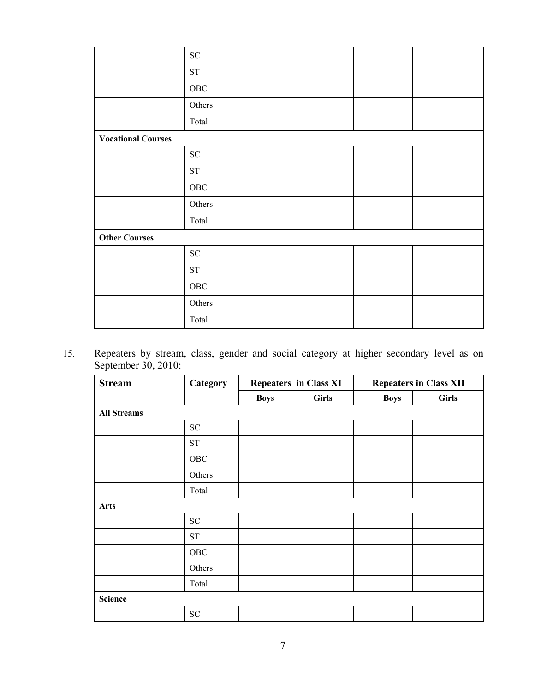|                           | ${\rm SC}$          |  |  |
|---------------------------|---------------------|--|--|
|                           | $\operatorname{ST}$ |  |  |
|                           | ${\rm OBC}$         |  |  |
|                           | Others              |  |  |
|                           | Total               |  |  |
| <b>Vocational Courses</b> |                     |  |  |
|                           | ${\rm SC}$          |  |  |
|                           | ${\rm ST}$          |  |  |
|                           | ${\rm OBC}$         |  |  |
|                           | Others              |  |  |
|                           | Total               |  |  |
| <b>Other Courses</b>      |                     |  |  |
|                           | ${\rm SC}$          |  |  |
|                           | $\operatorname{ST}$ |  |  |
|                           | ${\rm OBC}$         |  |  |
|                           | Others              |  |  |
|                           | Total               |  |  |

15. Repeaters by stream, class, gender and social category at higher secondary level as on September 30, 2010:

| <b>Stream</b>      | Category   | <b>Repeaters in Class XI</b> |              | <b>Repeaters in Class XII</b> |              |  |
|--------------------|------------|------------------------------|--------------|-------------------------------|--------------|--|
|                    |            | <b>Boys</b>                  | <b>Girls</b> | <b>Boys</b>                   | <b>Girls</b> |  |
| <b>All Streams</b> |            |                              |              |                               |              |  |
|                    | ${\rm SC}$ |                              |              |                               |              |  |
|                    | <b>ST</b>  |                              |              |                               |              |  |
|                    | OBC        |                              |              |                               |              |  |
|                    | Others     |                              |              |                               |              |  |
|                    | Total      |                              |              |                               |              |  |
| <b>Arts</b>        |            |                              |              |                               |              |  |
|                    | ${\rm SC}$ |                              |              |                               |              |  |
|                    | <b>ST</b>  |                              |              |                               |              |  |
|                    | OBC        |                              |              |                               |              |  |
|                    | Others     |                              |              |                               |              |  |
|                    | Total      |                              |              |                               |              |  |
| <b>Science</b>     |            |                              |              |                               |              |  |
|                    | ${\rm SC}$ |                              |              |                               |              |  |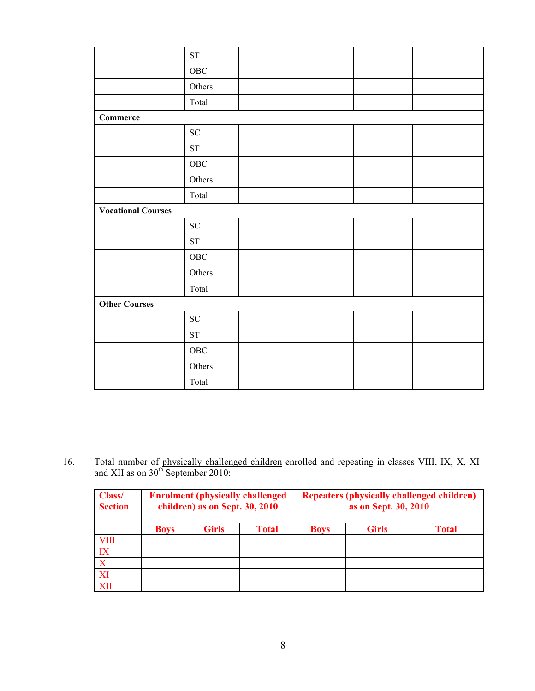|                           | $\operatorname{ST}$ |  |  |  |  |  |  |
|---------------------------|---------------------|--|--|--|--|--|--|
|                           | ${\rm OBC}$         |  |  |  |  |  |  |
|                           | Others              |  |  |  |  |  |  |
|                           | Total               |  |  |  |  |  |  |
| Commerce                  |                     |  |  |  |  |  |  |
|                           | ${\rm SC}$          |  |  |  |  |  |  |
|                           | ${\rm ST}$          |  |  |  |  |  |  |
|                           | ${\rm OBC}$         |  |  |  |  |  |  |
|                           | Others              |  |  |  |  |  |  |
|                           | Total               |  |  |  |  |  |  |
| <b>Vocational Courses</b> |                     |  |  |  |  |  |  |
|                           | ${\rm SC}$          |  |  |  |  |  |  |
|                           | ST                  |  |  |  |  |  |  |
|                           | OBC                 |  |  |  |  |  |  |
|                           | Others              |  |  |  |  |  |  |
|                           | Total               |  |  |  |  |  |  |
| <b>Other Courses</b>      |                     |  |  |  |  |  |  |
|                           | ${\rm SC}$          |  |  |  |  |  |  |
|                           | ${\rm ST}$          |  |  |  |  |  |  |
|                           | ${\rm OBC}$         |  |  |  |  |  |  |
|                           | Others              |  |  |  |  |  |  |
|                           | Total               |  |  |  |  |  |  |

16. Total number of physically challenged children enrolled and repeating in classes VIII, IX, X, XI and XII as on  $30<sup>th</sup>$  September 2010:

| Class/<br><b>Section</b> | <b>Enrolment (physically challenged)</b><br>children) as on Sept. 30, 2010 |              |              | <b>Repeaters (physically challenged children)</b><br>as on Sept. 30, 2010 |              |              |  |
|--------------------------|----------------------------------------------------------------------------|--------------|--------------|---------------------------------------------------------------------------|--------------|--------------|--|
|                          | <b>Boys</b>                                                                | <b>Girls</b> | <b>Total</b> | <b>Boys</b>                                                               | <b>Girls</b> | <b>Total</b> |  |
| <b>VIII</b>              |                                                                            |              |              |                                                                           |              |              |  |
| IX                       |                                                                            |              |              |                                                                           |              |              |  |
| X                        |                                                                            |              |              |                                                                           |              |              |  |
| XI                       |                                                                            |              |              |                                                                           |              |              |  |
| XII                      |                                                                            |              |              |                                                                           |              |              |  |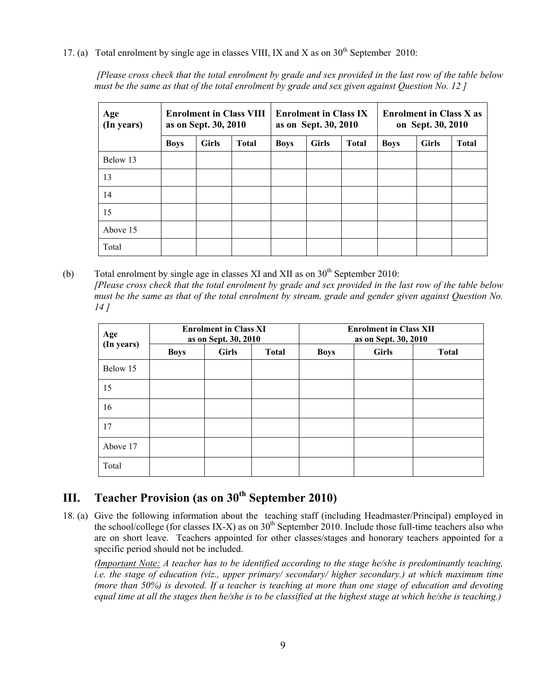17. (a) Total enrolment by single age in classes VIII, IX and X as on  $30<sup>th</sup>$  September 2010:

 *[Please cross check that the total enrolment by grade and sex provided in the last row of the table below must be the same as that of the total enrolment by grade and sex given against Question No. 12 ]* 

| Age<br>(In years) | <b>Enrolment in Class VIII</b><br>as on Sept. 30, 2010 |              |              |             | <b>Enrolment in Class IX</b><br>as on Sept. 30, 2010 |              | <b>Enrolment in Class X as</b><br>on Sept. 30, 2010 |              |              |
|-------------------|--------------------------------------------------------|--------------|--------------|-------------|------------------------------------------------------|--------------|-----------------------------------------------------|--------------|--------------|
|                   | <b>Boys</b>                                            | <b>Girls</b> | <b>Total</b> | <b>Boys</b> | <b>Girls</b>                                         | <b>Total</b> | <b>Boys</b>                                         | <b>Girls</b> | <b>Total</b> |
| Below 13          |                                                        |              |              |             |                                                      |              |                                                     |              |              |
| 13                |                                                        |              |              |             |                                                      |              |                                                     |              |              |
| 14                |                                                        |              |              |             |                                                      |              |                                                     |              |              |
| 15                |                                                        |              |              |             |                                                      |              |                                                     |              |              |
| Above 15          |                                                        |              |              |             |                                                      |              |                                                     |              |              |
| Total             |                                                        |              |              |             |                                                      |              |                                                     |              |              |

(b) Total enrolment by single age in classes XI and XII as on  $30<sup>th</sup>$  September 2010: *[Please cross check that the total enrolment by grade and sex provided in the last row of the table below must be the same as that of the total enrolment by stream, grade and gender given against Question No. 14 ]* 

| Age<br>(In years) |             | <b>Enrolment in Class XI</b><br>as on Sept. 30, 2010 |              |             | <b>Enrolment in Class XII</b><br>as on Sept. 30, 2010 |              |
|-------------------|-------------|------------------------------------------------------|--------------|-------------|-------------------------------------------------------|--------------|
|                   | <b>Boys</b> | <b>Girls</b>                                         | <b>Total</b> | <b>Boys</b> | <b>Girls</b>                                          | <b>Total</b> |
| Below 15          |             |                                                      |              |             |                                                       |              |
| 15                |             |                                                      |              |             |                                                       |              |
| 16                |             |                                                      |              |             |                                                       |              |
| 17                |             |                                                      |              |             |                                                       |              |
| Above 17          |             |                                                      |              |             |                                                       |              |
| Total             |             |                                                      |              |             |                                                       |              |

## **III. Teacher Provision (as on 30th September 2010)**

18. (a) Give the following information about the teaching staff (including Headmaster/Principal) employed in the school/college (for classes IX-X) as on  $30<sup>th</sup>$  September 2010. Include those full-time teachers also who are on short leave. Teachers appointed for other classes/stages and honorary teachers appointed for a specific period should not be included.

*(Important Note: A teacher has to be identified according to the stage he/she is predominantly teaching, i.e. the stage of education (viz., upper primary/ secondary/ higher secondary.) at which maximum time (more than 50%) is devoted. If a teacher is teaching at more than one stage of education and devoting equal time at all the stages then he/she is to be classified at the highest stage at which he/she is teaching.)*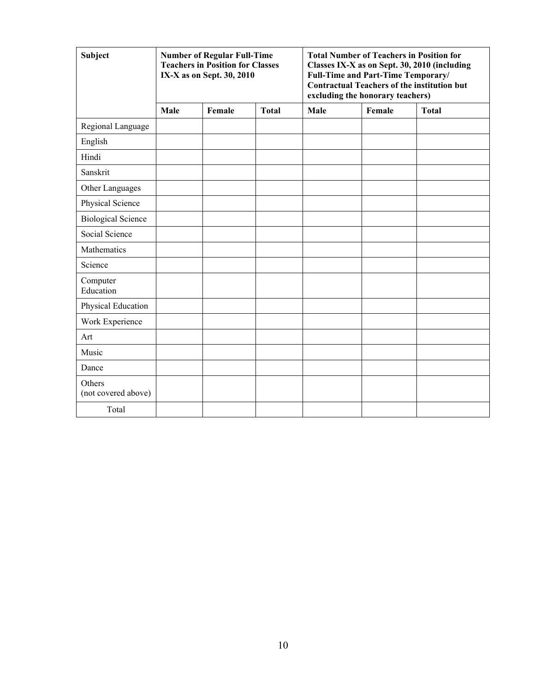| <b>Subject</b>                |      | <b>Number of Regular Full-Time</b><br><b>Teachers in Position for Classes</b><br>IX-X as on Sept. 30, 2010 |              |      |        | <b>Total Number of Teachers in Position for</b><br>Classes IX-X as on Sept. 30, 2010 (including<br>Full-Time and Part-Time Temporary/<br><b>Contractual Teachers of the institution but</b><br>excluding the honorary teachers)<br><b>Total</b> |  |  |
|-------------------------------|------|------------------------------------------------------------------------------------------------------------|--------------|------|--------|-------------------------------------------------------------------------------------------------------------------------------------------------------------------------------------------------------------------------------------------------|--|--|
|                               | Male | Female                                                                                                     | <b>Total</b> | Male | Female |                                                                                                                                                                                                                                                 |  |  |
| Regional Language             |      |                                                                                                            |              |      |        |                                                                                                                                                                                                                                                 |  |  |
| English                       |      |                                                                                                            |              |      |        |                                                                                                                                                                                                                                                 |  |  |
| Hindi                         |      |                                                                                                            |              |      |        |                                                                                                                                                                                                                                                 |  |  |
| Sanskrit                      |      |                                                                                                            |              |      |        |                                                                                                                                                                                                                                                 |  |  |
| Other Languages               |      |                                                                                                            |              |      |        |                                                                                                                                                                                                                                                 |  |  |
| Physical Science              |      |                                                                                                            |              |      |        |                                                                                                                                                                                                                                                 |  |  |
| <b>Biological Science</b>     |      |                                                                                                            |              |      |        |                                                                                                                                                                                                                                                 |  |  |
| Social Science                |      |                                                                                                            |              |      |        |                                                                                                                                                                                                                                                 |  |  |
| Mathematics                   |      |                                                                                                            |              |      |        |                                                                                                                                                                                                                                                 |  |  |
| Science                       |      |                                                                                                            |              |      |        |                                                                                                                                                                                                                                                 |  |  |
| Computer<br>Education         |      |                                                                                                            |              |      |        |                                                                                                                                                                                                                                                 |  |  |
| Physical Education            |      |                                                                                                            |              |      |        |                                                                                                                                                                                                                                                 |  |  |
| Work Experience               |      |                                                                                                            |              |      |        |                                                                                                                                                                                                                                                 |  |  |
| Art                           |      |                                                                                                            |              |      |        |                                                                                                                                                                                                                                                 |  |  |
| Music                         |      |                                                                                                            |              |      |        |                                                                                                                                                                                                                                                 |  |  |
| Dance                         |      |                                                                                                            |              |      |        |                                                                                                                                                                                                                                                 |  |  |
| Others<br>(not covered above) |      |                                                                                                            |              |      |        |                                                                                                                                                                                                                                                 |  |  |
| Total                         |      |                                                                                                            |              |      |        |                                                                                                                                                                                                                                                 |  |  |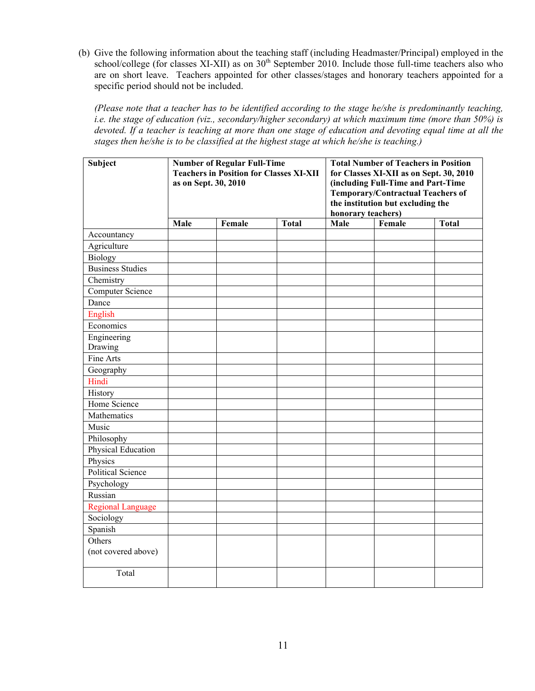(b) Give the following information about the teaching staff (including Headmaster/Principal) employed in the school/college (for classes XI-XII) as on  $30<sup>th</sup>$  September 2010. Include those full-time teachers also who are on short leave. Teachers appointed for other classes/stages and honorary teachers appointed for a specific period should not be included.

*(Please note that a teacher has to be identified according to the stage he/she is predominantly teaching, i.e. the stage of education (viz., secondary/higher secondary) at which maximum time (more than 50%) is devoted. If a teacher is teaching at more than one stage of education and devoting equal time at all the stages then he/she is to be classified at the highest stage at which he/she is teaching.)* 

| <b>Subject</b>                | <b>Number of Regular Full-Time</b><br><b>Teachers in Position for Classes XI-XII</b><br>as on Sept. 30, 2010 |        | <b>Total Number of Teachers in Position</b><br>for Classes XI-XII as on Sept. 30, 2010<br>(including Full-Time and Part-Time<br><b>Temporary/Contractual Teachers of</b><br>the institution but excluding the<br>honorary teachers) |      |        |              |
|-------------------------------|--------------------------------------------------------------------------------------------------------------|--------|-------------------------------------------------------------------------------------------------------------------------------------------------------------------------------------------------------------------------------------|------|--------|--------------|
|                               | Male                                                                                                         | Female | <b>Total</b>                                                                                                                                                                                                                        | Male | Female | <b>Total</b> |
| Accountancy                   |                                                                                                              |        |                                                                                                                                                                                                                                     |      |        |              |
| Agriculture                   |                                                                                                              |        |                                                                                                                                                                                                                                     |      |        |              |
| Biology                       |                                                                                                              |        |                                                                                                                                                                                                                                     |      |        |              |
| <b>Business Studies</b>       |                                                                                                              |        |                                                                                                                                                                                                                                     |      |        |              |
| Chemistry                     |                                                                                                              |        |                                                                                                                                                                                                                                     |      |        |              |
| <b>Computer Science</b>       |                                                                                                              |        |                                                                                                                                                                                                                                     |      |        |              |
| Dance                         |                                                                                                              |        |                                                                                                                                                                                                                                     |      |        |              |
| English                       |                                                                                                              |        |                                                                                                                                                                                                                                     |      |        |              |
| Economics                     |                                                                                                              |        |                                                                                                                                                                                                                                     |      |        |              |
| Engineering<br>Drawing        |                                                                                                              |        |                                                                                                                                                                                                                                     |      |        |              |
| Fine Arts                     |                                                                                                              |        |                                                                                                                                                                                                                                     |      |        |              |
| Geography                     |                                                                                                              |        |                                                                                                                                                                                                                                     |      |        |              |
| Hindi                         |                                                                                                              |        |                                                                                                                                                                                                                                     |      |        |              |
| History                       |                                                                                                              |        |                                                                                                                                                                                                                                     |      |        |              |
| Home Science                  |                                                                                                              |        |                                                                                                                                                                                                                                     |      |        |              |
| Mathematics                   |                                                                                                              |        |                                                                                                                                                                                                                                     |      |        |              |
| Music                         |                                                                                                              |        |                                                                                                                                                                                                                                     |      |        |              |
| Philosophy                    |                                                                                                              |        |                                                                                                                                                                                                                                     |      |        |              |
| Physical Education            |                                                                                                              |        |                                                                                                                                                                                                                                     |      |        |              |
| Physics                       |                                                                                                              |        |                                                                                                                                                                                                                                     |      |        |              |
| Political Science             |                                                                                                              |        |                                                                                                                                                                                                                                     |      |        |              |
| Psychology                    |                                                                                                              |        |                                                                                                                                                                                                                                     |      |        |              |
| Russian                       |                                                                                                              |        |                                                                                                                                                                                                                                     |      |        |              |
| <b>Regional Language</b>      |                                                                                                              |        |                                                                                                                                                                                                                                     |      |        |              |
| Sociology                     |                                                                                                              |        |                                                                                                                                                                                                                                     |      |        |              |
| Spanish                       |                                                                                                              |        |                                                                                                                                                                                                                                     |      |        |              |
| Others<br>(not covered above) |                                                                                                              |        |                                                                                                                                                                                                                                     |      |        |              |
| Total                         |                                                                                                              |        |                                                                                                                                                                                                                                     |      |        |              |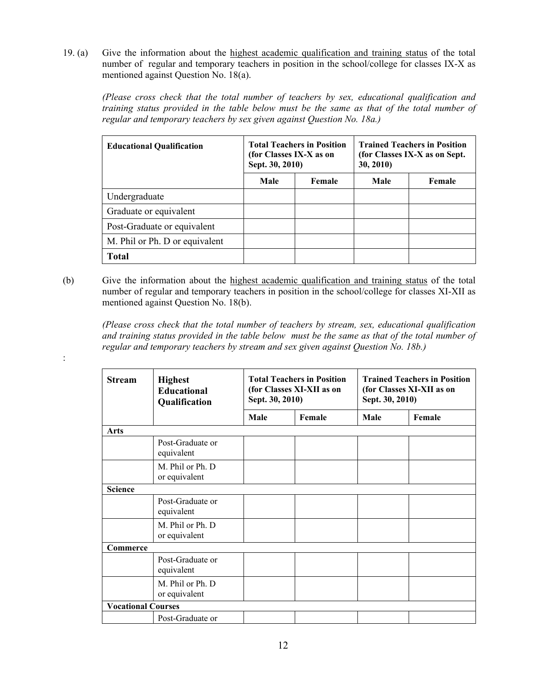19. (a) Give the information about the highest academic qualification and training status of the total number of regular and temporary teachers in position in the school/college for classes IX-X as mentioned against Question No. 18(a).

*(Please cross check that the total number of teachers by sex, educational qualification and training status provided in the table below must be the same as that of the total number of regular and temporary teachers by sex given against Question No. 18a.)*

| <b>Educational Qualification</b> | <b>Total Teachers in Position</b><br>(for Classes IX-X as on<br>Sept. 30, 2010) |        | <b>Trained Teachers in Position</b><br>(for Classes IX-X as on Sept.)<br>30, 2010) |        |
|----------------------------------|---------------------------------------------------------------------------------|--------|------------------------------------------------------------------------------------|--------|
|                                  | Male                                                                            | Female | Male                                                                               | Female |
| Undergraduate                    |                                                                                 |        |                                                                                    |        |
| Graduate or equivalent           |                                                                                 |        |                                                                                    |        |
| Post-Graduate or equivalent      |                                                                                 |        |                                                                                    |        |
| M. Phil or Ph. D or equivalent   |                                                                                 |        |                                                                                    |        |
| <b>Total</b>                     |                                                                                 |        |                                                                                    |        |

(b) Give the information about the highest academic qualification and training status of the total number of regular and temporary teachers in position in the school/college for classes XI-XII as mentioned against Question No. 18(b).

*(Please cross check that the total number of teachers by stream, sex, educational qualification and training status provided in the table below must be the same as that of the total number of regular and temporary teachers by stream and sex given against Question No. 18b.)*

| <b>Stream</b>             | <b>Highest</b><br><b>Educational</b><br>Qualification | <b>Total Teachers in Position</b><br>(for Classes XI-XII as on<br>Sept. 30, 2010) |        | <b>Trained Teachers in Position</b><br>(for Classes XI-XII as on<br>Sept. 30, 2010) |        |
|---------------------------|-------------------------------------------------------|-----------------------------------------------------------------------------------|--------|-------------------------------------------------------------------------------------|--------|
|                           |                                                       | Male                                                                              | Female | Male                                                                                | Female |
| Arts                      |                                                       |                                                                                   |        |                                                                                     |        |
|                           | Post-Graduate or<br>equivalent                        |                                                                                   |        |                                                                                     |        |
|                           | M. Phil or Ph. D<br>or equivalent                     |                                                                                   |        |                                                                                     |        |
| <b>Science</b>            |                                                       |                                                                                   |        |                                                                                     |        |
|                           | Post-Graduate or<br>equivalent                        |                                                                                   |        |                                                                                     |        |
|                           | M. Phil or Ph. D<br>or equivalent                     |                                                                                   |        |                                                                                     |        |
| Commerce                  |                                                       |                                                                                   |        |                                                                                     |        |
|                           | Post-Graduate or<br>equivalent                        |                                                                                   |        |                                                                                     |        |
|                           | M. Phil or Ph. D.<br>or equivalent                    |                                                                                   |        |                                                                                     |        |
| <b>Vocational Courses</b> |                                                       |                                                                                   |        |                                                                                     |        |
|                           | Post-Graduate or                                      |                                                                                   |        |                                                                                     |        |

: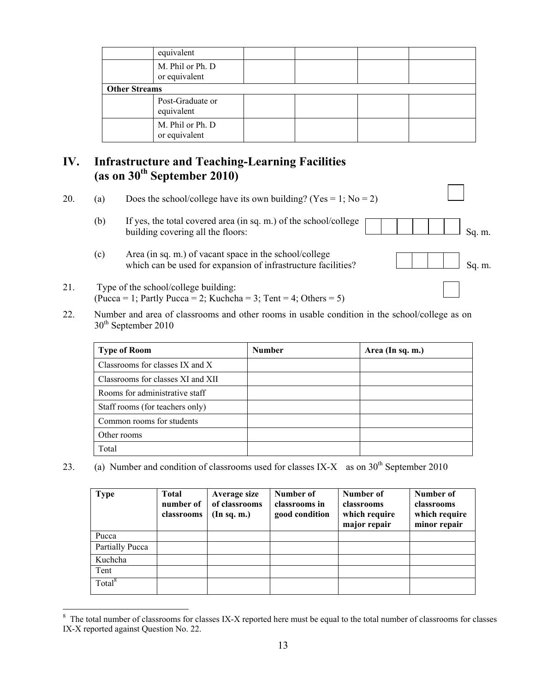|                      | equivalent                        |  |  |
|----------------------|-----------------------------------|--|--|
|                      | M. Phil or Ph. D<br>or equivalent |  |  |
| <b>Other Streams</b> |                                   |  |  |
|                      | Post-Graduate or<br>equivalent    |  |  |
|                      | M. Phil or Ph. D<br>or equivalent |  |  |

## **IV. Infrastructure and Teaching-Learning Facilities (as on 30th September 2010)**

20. (a) Does the school/college have its own building? (Yes = 1; No = 2)

- (b) If yes, the total covered area (in sq. m.) of the school/college building covering all the floors: Sq. m.
- (c) Area (in sq. m.) of vacant space in the school/college which can be used for expansion of infrastructure facilities?  $\Box$  Sq. m.
- 21. Type of the school/college building:  $(Pucca = 1; Partly Pucca = 2; Kuchcha = 3; Tent = 4; Others = 5)$

 $\overline{a}$ 

22. Number and area of classrooms and other rooms in usable condition in the school/college as on 30<sup>th</sup> September 2010

| <b>Type of Room</b>               | <b>Number</b> | Area (In sq. m.) |
|-----------------------------------|---------------|------------------|
| Classrooms for classes IX and X   |               |                  |
| Classrooms for classes XI and XII |               |                  |
| Rooms for administrative staff    |               |                  |
| Staff rooms (for teachers only)   |               |                  |
| Common rooms for students         |               |                  |
| Other rooms                       |               |                  |
| Total                             |               |                  |

23. (a) Number and condition of classrooms used for classes IX-X as on  $30<sup>th</sup>$  September 2010

| <b>Type</b>        | <b>Total</b><br>number of<br>classrooms | <b>Average size</b><br>of classrooms<br>(In sq. m.) | Number of<br>classrooms in<br>good condition | Number of<br>classrooms<br>which require<br>major repair | Number of<br>classrooms<br>which require<br>minor repair |
|--------------------|-----------------------------------------|-----------------------------------------------------|----------------------------------------------|----------------------------------------------------------|----------------------------------------------------------|
| Pucca              |                                         |                                                     |                                              |                                                          |                                                          |
| Partially Pucca    |                                         |                                                     |                                              |                                                          |                                                          |
| Kuchcha            |                                         |                                                     |                                              |                                                          |                                                          |
| Tent               |                                         |                                                     |                                              |                                                          |                                                          |
| Total <sup>8</sup> |                                         |                                                     |                                              |                                                          |                                                          |

<sup>&</sup>lt;sup>8</sup> The total number of classrooms for classes IX-X reported here must be equal to the total number of classrooms for classes IX-X reported against Question No. 22.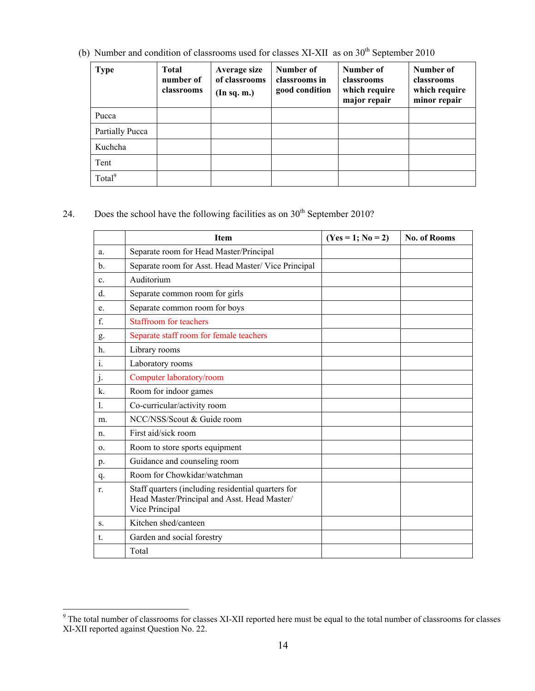(b) Number and condition of classrooms used for classes XI-XII as on  $30<sup>th</sup>$  September 2010

| <b>Type</b>        | <b>Total</b><br>number of<br>classrooms | Average size<br>of classrooms<br>(In sq. m.) | Number of<br>classrooms in<br>good condition | Number of<br>classrooms<br>which require<br>major repair | Number of<br>classrooms<br>which require<br>minor repair |
|--------------------|-----------------------------------------|----------------------------------------------|----------------------------------------------|----------------------------------------------------------|----------------------------------------------------------|
| Pucca              |                                         |                                              |                                              |                                                          |                                                          |
| Partially Pucca    |                                         |                                              |                                              |                                                          |                                                          |
| Kuchcha            |                                         |                                              |                                              |                                                          |                                                          |
| Tent               |                                         |                                              |                                              |                                                          |                                                          |
| Total <sup>9</sup> |                                         |                                              |                                              |                                                          |                                                          |

24. Does the school have the following facilities as on  $30<sup>th</sup>$  September 2010?

|                | Item                                                                                                                 | $(Yes = 1; No = 2)$ | <b>No. of Rooms</b> |
|----------------|----------------------------------------------------------------------------------------------------------------------|---------------------|---------------------|
| a.             | Separate room for Head Master/Principal                                                                              |                     |                     |
| $\mathbf{b}$ . | Separate room for Asst. Head Master/ Vice Principal                                                                  |                     |                     |
| c.             | Auditorium                                                                                                           |                     |                     |
| d.             | Separate common room for girls                                                                                       |                     |                     |
| e.             | Separate common room for boys                                                                                        |                     |                     |
| f.             | <b>Staffroom for teachers</b>                                                                                        |                     |                     |
| g.             | Separate staff room for female teachers                                                                              |                     |                     |
| h.             | Library rooms                                                                                                        |                     |                     |
| 1.             | Laboratory rooms                                                                                                     |                     |                     |
| $\cdot$        | Computer laboratory/room                                                                                             |                     |                     |
| $\mathbf{k}$ . | Room for indoor games                                                                                                |                     |                     |
| $\mathbf{1}$ . | Co-curricular/activity room                                                                                          |                     |                     |
| m.             | NCC/NSS/Scout & Guide room                                                                                           |                     |                     |
| $n_{\cdot}$    | First aid/sick room                                                                                                  |                     |                     |
| 0.             | Room to store sports equipment                                                                                       |                     |                     |
| p.             | Guidance and counseling room                                                                                         |                     |                     |
| q.             | Room for Chowkidar/watchman                                                                                          |                     |                     |
| r.             | Staff quarters (including residential quarters for<br>Head Master/Principal and Asst. Head Master/<br>Vice Principal |                     |                     |
| S.             | Kitchen shed/canteen                                                                                                 |                     |                     |
| t.             | Garden and social forestry                                                                                           |                     |                     |
|                | Total                                                                                                                |                     |                     |

The total number of classrooms for classes XI-XII reported here must be equal to the total number of classrooms for classes XI-XII reported against Question No. 22.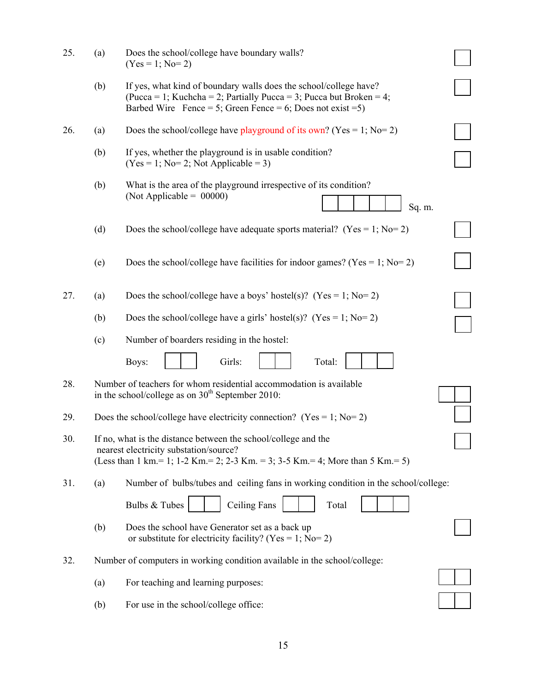| 25. | (a) | Does the school/college have boundary walls?<br>$(Yes = 1; No = 2)$                                                                                                                                     |  |
|-----|-----|---------------------------------------------------------------------------------------------------------------------------------------------------------------------------------------------------------|--|
|     | (b) | If yes, what kind of boundary walls does the school/college have?<br>(Pucca = 1; Kuchcha = 2; Partially Pucca = 3; Pucca but Broken = 4;<br>Barbed Wire Fence = 5; Green Fence = 6; Does not exist = 5) |  |
| 26. | (a) | Does the school/college have playground of its own? (Yes = 1; No= 2)                                                                                                                                    |  |
|     | (b) | If yes, whether the playground is in usable condition?<br>$(Yes = 1; No=2; Not Applicable = 3)$                                                                                                         |  |
|     | (b) | What is the area of the playground irrespective of its condition?<br>(Not Applicable = $00000$ )<br>Sq. m.                                                                                              |  |
|     | (d) | Does the school/college have adequate sports material? (Yes = 1; No= 2)                                                                                                                                 |  |
|     | (e) | Does the school/college have facilities for indoor games? (Yes = 1; No= 2)                                                                                                                              |  |
| 27. | (a) | Does the school/college have a boys' hostel(s)? (Yes = 1; No= 2)                                                                                                                                        |  |
|     | (b) | Does the school/college have a girls' hostel(s)? (Yes = 1; No= 2)                                                                                                                                       |  |
|     | (c) | Number of boarders residing in the hostel:                                                                                                                                                              |  |
|     |     | Girls:<br>Total:<br>Boys:                                                                                                                                                                               |  |
| 28. |     | Number of teachers for whom residential accommodation is available<br>in the school/college as on $30th$ September 2010:                                                                                |  |
| 29. |     | Does the school/college have electricity connection? (Yes = 1; No= 2)                                                                                                                                   |  |
| 30. |     | If no, what is the distance between the school/college and the<br>nearest electricity substation/source?<br>(Less than 1 km = 1; 1-2 Km = 2; 2-3 Km = 3; 3-5 Km = 4; More than 5 Km = 5)                |  |
| 31. | (a) | Number of bulbs/tubes and ceiling fans in working condition in the school/college:                                                                                                                      |  |
|     |     | <b>Ceiling Fans</b><br>Bulbs & Tubes<br>Total                                                                                                                                                           |  |
|     | (b) | Does the school have Generator set as a back up<br>or substitute for electricity facility? (Yes = 1; No= 2)                                                                                             |  |
| 32. |     | Number of computers in working condition available in the school/college:                                                                                                                               |  |
|     | (a) | For teaching and learning purposes:                                                                                                                                                                     |  |
|     | (b) | For use in the school/college office:                                                                                                                                                                   |  |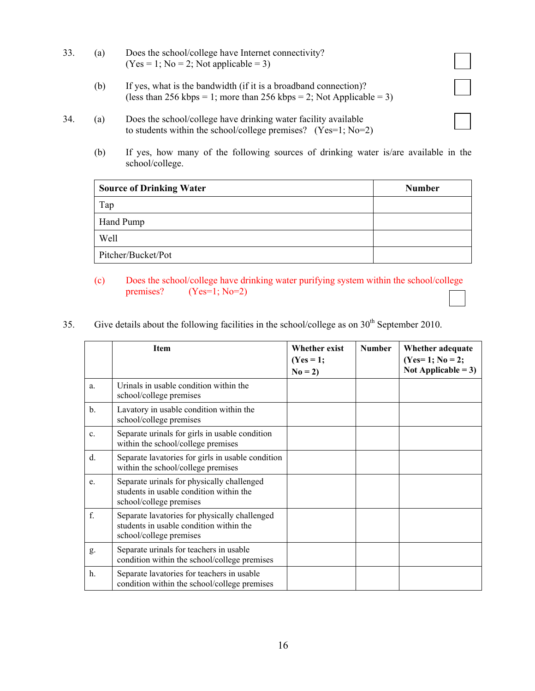- 33. (a) Does the school/college have Internet connectivity?  $(Yes = 1; No = 2; Not applicable = 3)$ 
	- (b) If yes, what is the bandwidth (if it is a broadband connection)? (less than 256 kbps = 1; more than 256 kbps = 2; Not Applicable = 3)
- 34. (a) Does the school/college have drinking water facility available to students within the school/college premises? (Yes=1; No=2)
	- (b) If yes, how many of the following sources of drinking water is/are available in the school/college.

| <b>Source of Drinking Water</b> | <b>Number</b> |
|---------------------------------|---------------|
| Tap                             |               |
| Hand Pump                       |               |
| Well                            |               |
| Pitcher/Bucket/Pot              |               |

- (c) Does the school/college have drinking water purifying system within the school/college premises?  $(Yes=1; No=2)$
- 35. Give details about the following facilities in the school/college as on 30<sup>th</sup> September 2010.

|                | <b>Item</b>                                                                                                         | <b>Whether exist</b><br>$(Yes = 1;$<br>$No = 2$ | <b>Number</b> | Whether adequate<br>$(Yes=1; No=2;$<br>Not Applicable = $3$ ) |
|----------------|---------------------------------------------------------------------------------------------------------------------|-------------------------------------------------|---------------|---------------------------------------------------------------|
| a.             | Urinals in usable condition within the<br>school/college premises                                                   |                                                 |               |                                                               |
| $\mathbf{b}$ . | Lavatory in usable condition within the<br>school/college premises                                                  |                                                 |               |                                                               |
| $\mathbf{c}$ . | Separate urinals for girls in usable condition<br>within the school/college premises                                |                                                 |               |                                                               |
| $d_{\cdot}$    | Separate lavatories for girls in usable condition<br>within the school/college premises                             |                                                 |               |                                                               |
| e.             | Separate urinals for physically challenged<br>students in usable condition within the<br>school/college premises    |                                                 |               |                                                               |
| f.             | Separate lavatories for physically challenged<br>students in usable condition within the<br>school/college premises |                                                 |               |                                                               |
| g.             | Separate urinals for teachers in usable<br>condition within the school/college premises                             |                                                 |               |                                                               |
| $h_{\cdot}$    | Separate lavatories for teachers in usable<br>condition within the school/college premises                          |                                                 |               |                                                               |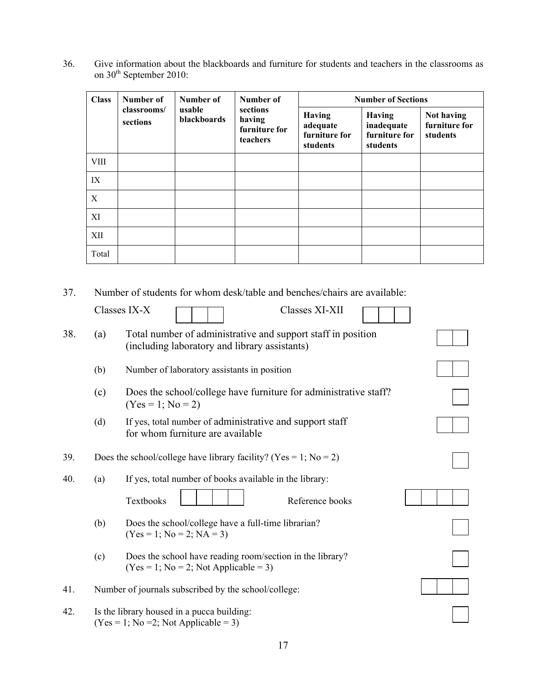36. Give information about the blackboards and furniture for students and teachers in the classrooms as on  $30<sup>th</sup>$  September 2010:

| <b>Class</b> | Number of               | Number of             | Number of                                       | <b>Number of Sections</b>                              |                                                          |                                         |
|--------------|-------------------------|-----------------------|-------------------------------------------------|--------------------------------------------------------|----------------------------------------------------------|-----------------------------------------|
|              | classrooms/<br>sections | usable<br>blackboards | sections<br>having<br>furniture for<br>teachers | <b>Having</b><br>adequate<br>furniture for<br>students | <b>Having</b><br>inadequate<br>furniture for<br>students | Not having<br>furniture for<br>students |
| VIII         |                         |                       |                                                 |                                                        |                                                          |                                         |
| IX           |                         |                       |                                                 |                                                        |                                                          |                                         |
| X            |                         |                       |                                                 |                                                        |                                                          |                                         |
| XI           |                         |                       |                                                 |                                                        |                                                          |                                         |
| XII          |                         |                       |                                                 |                                                        |                                                          |                                         |
| Total        |                         |                       |                                                 |                                                        |                                                          |                                         |

37. Number of students for whom desk/table and benches/chairs are available:

|     |     | Classes IX-X<br>Classes XI-XII                                                                                |  |
|-----|-----|---------------------------------------------------------------------------------------------------------------|--|
| 38. | (a) | Total number of administrative and support staff in position<br>(including laboratory and library assistants) |  |
|     | (b) | Number of laboratory assistants in position                                                                   |  |
|     | (c) | Does the school/college have furniture for administrative staff?<br>$(Yes = 1; No = 2)$                       |  |
|     | (d) | If yes, total number of administrative and support staff<br>for whom furniture are available                  |  |
| 39. |     | Does the school/college have library facility? (Yes = 1; No = 2)                                              |  |
| 40. | (a) | If yes, total number of books available in the library:<br>Textbooks<br>Reference books                       |  |
|     | (b) | Does the school/college have a full-time librarian?<br>$(Yes = 1; No = 2; NA = 3)$                            |  |
|     | (c) | Does the school have reading room/section in the library?<br>$(Yes = 1; No = 2; Not Applicable = 3)$          |  |
| 41. |     | Number of journals subscribed by the school/college:                                                          |  |
| 42. |     | Is the library housed in a pucca building:<br>$(Yes = 1; No = 2; Not Applicable = 3)$                         |  |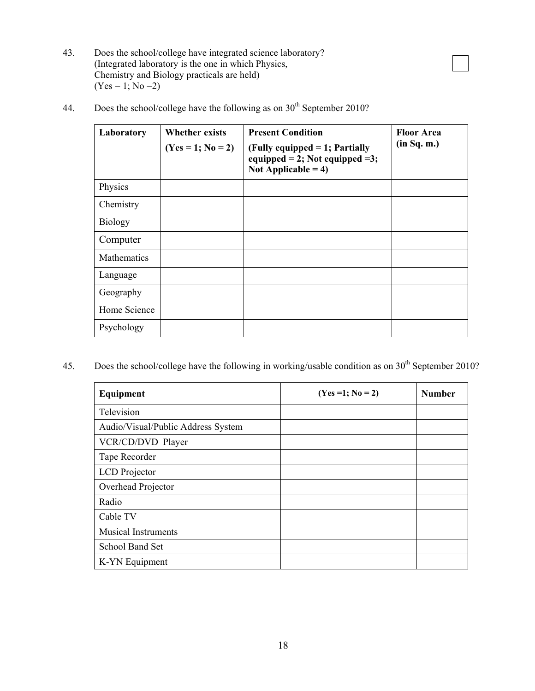43. Does the school/college have integrated science laboratory? (Integrated laboratory is the one in which Physics, Chemistry and Biology practicals are held)  $(Yes = 1; No = 2)$ 

| Laboratory         | <b>Whether exists</b><br>$(Yes = 1; No = 2)$ | <b>Present Condition</b><br>(Fully equipped $= 1$ ; Partially<br>equipped = 2; Not equipped = 3;<br>Not Applicable = $4$ ) | <b>Floor Area</b><br>(in Sq. m.) |
|--------------------|----------------------------------------------|----------------------------------------------------------------------------------------------------------------------------|----------------------------------|
| Physics            |                                              |                                                                                                                            |                                  |
| Chemistry          |                                              |                                                                                                                            |                                  |
| <b>Biology</b>     |                                              |                                                                                                                            |                                  |
| Computer           |                                              |                                                                                                                            |                                  |
| <b>Mathematics</b> |                                              |                                                                                                                            |                                  |
| Language           |                                              |                                                                                                                            |                                  |
| Geography          |                                              |                                                                                                                            |                                  |
| Home Science       |                                              |                                                                                                                            |                                  |
| Psychology         |                                              |                                                                                                                            |                                  |

44. Does the school/college have the following as on  $30<sup>th</sup>$  September 2010?

45. Does the school/college have the following in working/usable condition as on 30<sup>th</sup> September 2010?

| Equipment                          | $(Yes = 1; No = 2)$ | <b>Number</b> |
|------------------------------------|---------------------|---------------|
| Television                         |                     |               |
| Audio/Visual/Public Address System |                     |               |
| VCR/CD/DVD Player                  |                     |               |
| Tape Recorder                      |                     |               |
| <b>LCD</b> Projector               |                     |               |
| Overhead Projector                 |                     |               |
| Radio                              |                     |               |
| Cable TV                           |                     |               |
| <b>Musical Instruments</b>         |                     |               |
| School Band Set                    |                     |               |
| K-YN Equipment                     |                     |               |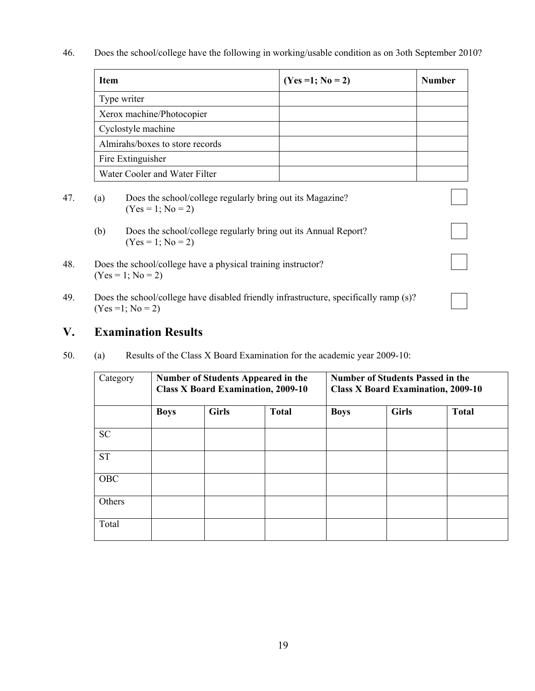46. Does the school/college have the following in working/usable condition as on 3oth September 2010?

| $(Yes = 1; No = 2)$ | <b>Number</b> |
|---------------------|---------------|
|                     |               |
|                     |               |
|                     |               |
|                     |               |
|                     |               |
|                     |               |
|                     |               |

 $\vert \ \ \vert$ 

- 47. (a) Does the school/college regularly bring out its Magazine?  $(Yes = 1; No = 2)$ 
	- (b) Does the school/college regularly bring out its Annual Report?  $(Yes = 1; No = 2)$
- 48. Does the school/college have a physical training instructor?  $(Yes = 1; No = 2)$
- 49. Does the school/college have disabled friendly infrastructure, specifically ramp (s)?  $(Yes = 1; No = 2)$

## **V. Examination Results**

50. (a) Results of the Class X Board Examination for the academic year 2009-10:

| Category  |             |              | Number of Students Appeared in the<br><b>Class X Board Examination, 2009-10</b> | <b>Number of Students Passed in the</b><br><b>Class X Board Examination, 2009-10</b> |              |              |  |  |  |
|-----------|-------------|--------------|---------------------------------------------------------------------------------|--------------------------------------------------------------------------------------|--------------|--------------|--|--|--|
|           | <b>Boys</b> | <b>Girls</b> | <b>Total</b>                                                                    | <b>Boys</b>                                                                          | <b>Girls</b> | <b>Total</b> |  |  |  |
| <b>SC</b> |             |              |                                                                                 |                                                                                      |              |              |  |  |  |
| <b>ST</b> |             |              |                                                                                 |                                                                                      |              |              |  |  |  |
| OBC       |             |              |                                                                                 |                                                                                      |              |              |  |  |  |
| Others    |             |              |                                                                                 |                                                                                      |              |              |  |  |  |
| Total     |             |              |                                                                                 |                                                                                      |              |              |  |  |  |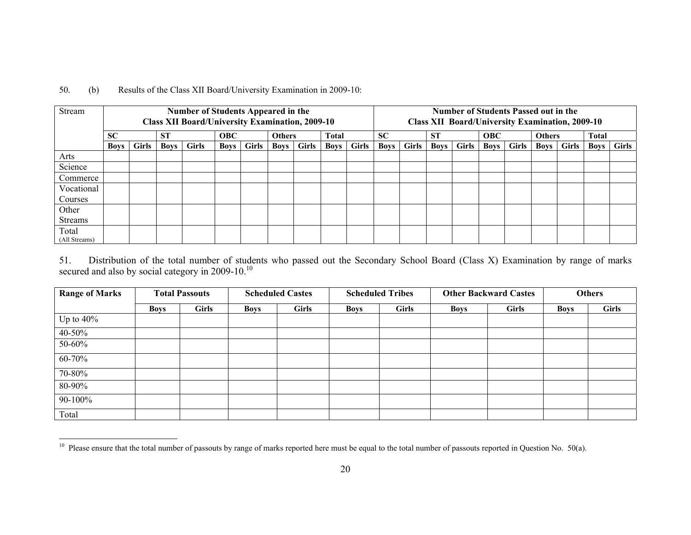|  | 50. | (b) | Results of the Class XII Board/University Examination in 2009-10: |
|--|-----|-----|-------------------------------------------------------------------|
|--|-----|-----|-------------------------------------------------------------------|

| Stream         | <b>Number of Students Appeared in the</b><br><b>Class XII Board/University Examination, 2009-10</b> |              |             |              |             |              |               |              | Number of Students Passed out in the<br><b>Class XII Board/University Examination, 2009-10</b> |              |             |              |             |              |             |              |               |       |              |              |
|----------------|-----------------------------------------------------------------------------------------------------|--------------|-------------|--------------|-------------|--------------|---------------|--------------|------------------------------------------------------------------------------------------------|--------------|-------------|--------------|-------------|--------------|-------------|--------------|---------------|-------|--------------|--------------|
|                | <b>SC</b>                                                                                           |              | <b>ST</b>   |              | <b>OBC</b>  |              | <b>Others</b> |              | <b>Total</b>                                                                                   |              | <b>SC</b>   |              | <b>ST</b>   |              | <b>OBC</b>  |              | <b>Others</b> |       | <b>Total</b> |              |
|                | <b>Boys</b>                                                                                         | <b>Girls</b> | <b>Boys</b> | <b>Girls</b> | <b>Boys</b> | <b>Girls</b> | <b>Boys</b>   | <b>Girls</b> | <b>Boys</b>                                                                                    | <b>Girls</b> | <b>Boys</b> | <b>Girls</b> | <b>Boys</b> | <b>Girls</b> | <b>Boys</b> | <b>Girls</b> | Boys          | Girls | <b>Boys</b>  | <b>Girls</b> |
| Arts           |                                                                                                     |              |             |              |             |              |               |              |                                                                                                |              |             |              |             |              |             |              |               |       |              |              |
| Science        |                                                                                                     |              |             |              |             |              |               |              |                                                                                                |              |             |              |             |              |             |              |               |       |              |              |
| Commerce       |                                                                                                     |              |             |              |             |              |               |              |                                                                                                |              |             |              |             |              |             |              |               |       |              |              |
| Vocational     |                                                                                                     |              |             |              |             |              |               |              |                                                                                                |              |             |              |             |              |             |              |               |       |              |              |
| Courses        |                                                                                                     |              |             |              |             |              |               |              |                                                                                                |              |             |              |             |              |             |              |               |       |              |              |
| Other          |                                                                                                     |              |             |              |             |              |               |              |                                                                                                |              |             |              |             |              |             |              |               |       |              |              |
| <b>Streams</b> |                                                                                                     |              |             |              |             |              |               |              |                                                                                                |              |             |              |             |              |             |              |               |       |              |              |
| Total          |                                                                                                     |              |             |              |             |              |               |              |                                                                                                |              |             |              |             |              |             |              |               |       |              |              |
| (All Streams)  |                                                                                                     |              |             |              |             |              |               |              |                                                                                                |              |             |              |             |              |             |              |               |       |              |              |

51. Distribution of the total number of students who passed out the Secondary School Board (Class X) Examination by range of marks secured and also by social category in 2009-10. $^{10}$ 

| <b>Range of Marks</b> |             | <b>Total Passouts</b> |             | <b>Scheduled Castes</b> | <b>Scheduled Tribes</b> |              |             | <b>Other Backward Castes</b> | <b>Others</b> |              |  |
|-----------------------|-------------|-----------------------|-------------|-------------------------|-------------------------|--------------|-------------|------------------------------|---------------|--------------|--|
|                       | <b>Boys</b> | <b>Girls</b>          | <b>Boys</b> | <b>Girls</b>            | <b>Boys</b>             | <b>Girls</b> | <b>Boys</b> | <b>Girls</b>                 | <b>Boys</b>   | <b>Girls</b> |  |
| Up to $40\%$          |             |                       |             |                         |                         |              |             |                              |               |              |  |
| 40-50%                |             |                       |             |                         |                         |              |             |                              |               |              |  |
| 50-60%                |             |                       |             |                         |                         |              |             |                              |               |              |  |
| 60-70%                |             |                       |             |                         |                         |              |             |                              |               |              |  |
| 70-80%                |             |                       |             |                         |                         |              |             |                              |               |              |  |
| 80-90%                |             |                       |             |                         |                         |              |             |                              |               |              |  |
| 90-100%               |             |                       |             |                         |                         |              |             |                              |               |              |  |
| Total                 |             |                       |             |                         |                         |              |             |                              |               |              |  |

<sup>&</sup>lt;sup>10</sup> Please ensure that the total number of passouts by range of marks reported here must be equal to the total number of passouts reported in Question No. 50(a).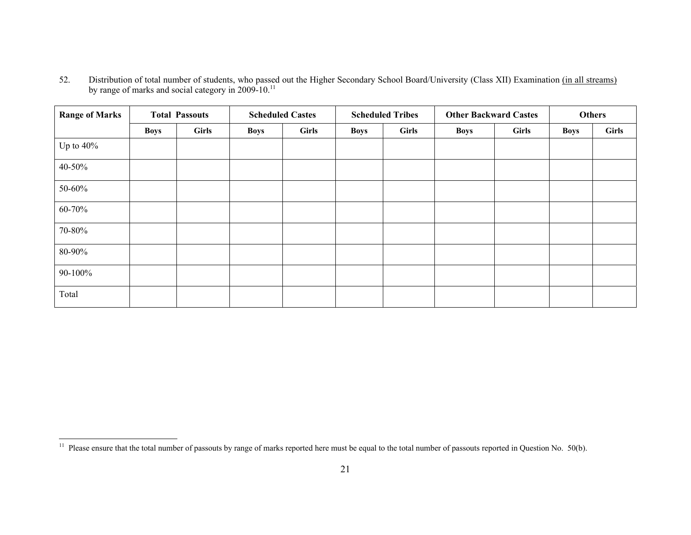52.Distribution of total number of students, who passed out the Higher Secondary School Board/University (Class XII) Examination (in all streams) by range of marks and social category in 2009-10.<sup>11</sup>

| <b>Range of Marks</b> | <b>Total Passouts</b> |       |             | <b>Scheduled Castes</b> |             | <b>Scheduled Tribes</b> | <b>Other Backward Castes</b> |              | <b>Others</b> |              |
|-----------------------|-----------------------|-------|-------------|-------------------------|-------------|-------------------------|------------------------------|--------------|---------------|--------------|
|                       | <b>Boys</b>           | Girls | <b>Boys</b> | <b>Girls</b>            | <b>Boys</b> | <b>Girls</b>            | <b>Boys</b>                  | <b>Girls</b> | <b>Boys</b>   | <b>Girls</b> |
| Up to $40\%$          |                       |       |             |                         |             |                         |                              |              |               |              |
| 40-50%                |                       |       |             |                         |             |                         |                              |              |               |              |
| 50-60%                |                       |       |             |                         |             |                         |                              |              |               |              |
| 60-70%                |                       |       |             |                         |             |                         |                              |              |               |              |
| 70-80%                |                       |       |             |                         |             |                         |                              |              |               |              |
| 80-90%                |                       |       |             |                         |             |                         |                              |              |               |              |
| 90-100%               |                       |       |             |                         |             |                         |                              |              |               |              |
| Total                 |                       |       |             |                         |             |                         |                              |              |               |              |

<sup>&</sup>lt;sup>11</sup> Please ensure that the total number of passouts by range of marks reported here must be equal to the total number of passouts reported in Question No. 50(b).